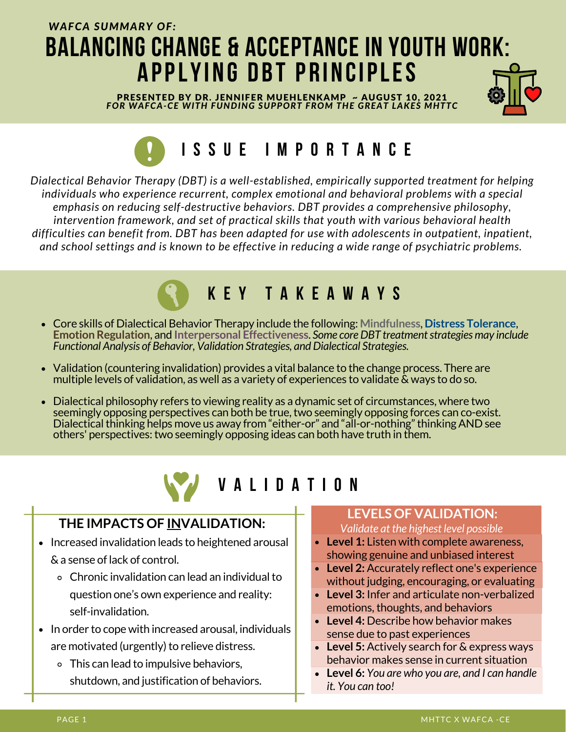## *WAFCA SUMMARY OF:* **BALANCING CHANGE & ACCEPTANCE IN YOUTH WORK: A PPLYI N G D B T P R I N CIPLES**

PRESENTED BY DR. JENNIFER MUEHLENKAMP ~ AUGUST 10, 2021 *FOR WAFCA-CE WITH FUNDING SUPPORT FROM THE GREAT LAKES MHTTC*



# **I S S U E I M P O R T A N C E**

*Dialectical Behavior Therapy (DBT) is a well-established, empirically supported treatment for helping individuals who experience recurrent, complex emotional and behavioral problems with a special emphasis on reducing self-destructive behaviors. DBT provides a comprehensive philosophy, intervention framework, and set of practical skills that youth with various behavioral health difficulties can benefit from. DBT has been adapted for use with adolescents in outpatient, inpatient, and school settings and is known to be effective in reducing a wide range of psychiatric problems.*



- Core skills of Dialectical Behavior Therapy include the following: **Mindfulness**, **Distress Tolerance**, **Emotion Regulation**, and **Interpersonal Effectiveness**. *Some coreDBT treatmentstrategies may include Functional Analysis of Behavior, Validation Strategies, and Dialectical Strategies.*
- Validation (countering invalidation) provides a vital balance to the change process. There are multiple levels of validation, as well as a variety of experiences to validate & ways to do so.
- Dialectical philosophy refers to viewing reality as a dynamic set of circumstances, where two seemingly opposing perspectives can both be true, two seemingly opposing forces can co-exist. Dialectical thinking helps move us away from "either-or" and "all-or-nothing" thinking AND see others' perspectives: two seemingly opposing ideas can both have truth in them.



### **V A L I D A T I O N**

#### **THE IMPACTS OF INVALIDATION:**

- Increased invalidation leads to heightened arousal & a sense oflack of control.
	- Chronic invalidation can lead an individualto question one's own experience and reality: self-invalidation.
- In order to cope with increased arousal, individuals are motivated (urgently) to relieve distress.
	- This can lead to impulsive behaviors, shutdown, and justification of behaviors.

#### **LEVELS OF VALIDATION:**

*Validate at the highest level possible*

- **Level 1:** Listen with complete awareness, showing genuine and unbiased interest
- **Level 2:** Accurately reflect one's experience without judging, encouraging, or evaluating
- **Level 3:** Infer and articulate non-verbalized emotions, thoughts, and behaviors
- **Level 4:** Describe how behavior makes sense due to past experiences
- **Level 5:** Actively search for & express ways behavior makes sense in current situation
- **Level 6:** *You are who you are, and I can handle it. You can too!*